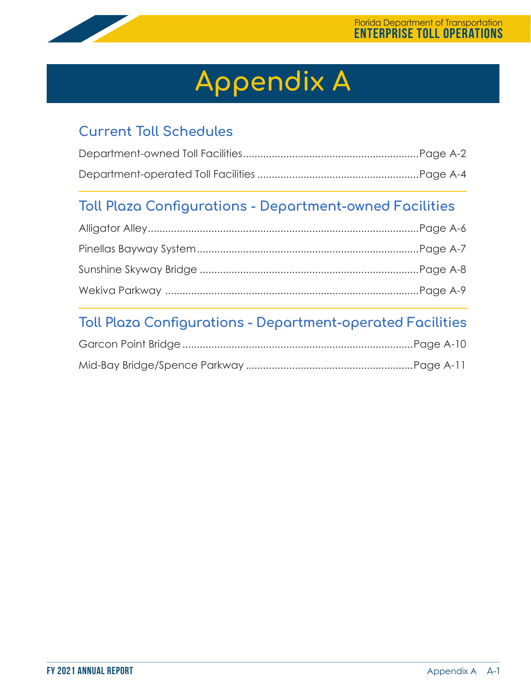

# **Appendix A**

## **Current Toll Schedules**

## **Toll Plaza Configurations - Department-owned Facilities**

## **Toll Plaza Configurations - Department-operated Facilities**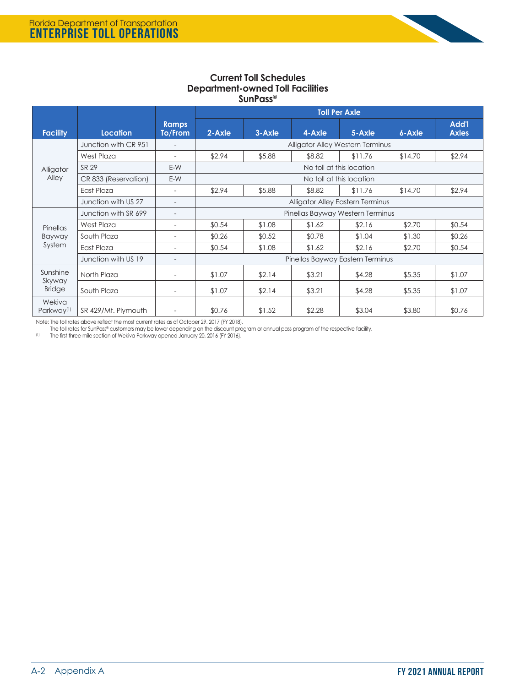

### **Current Toll Schedules Department-owned Toll Facilities SunPass®**

|                                     |                      |                          | <b>Toll Per Axle</b>             |                                  |        |         |         |                              |  |
|-------------------------------------|----------------------|--------------------------|----------------------------------|----------------------------------|--------|---------|---------|------------------------------|--|
| <b>Facility</b>                     | <b>Location</b>      | <b>Ramps</b><br>To/From  | $2 - Ax$ le                      | $3 - Ax$ le                      | 4-Axle | 5-Axle  | 6-Axle  | <b>Add'l</b><br><b>Axles</b> |  |
|                                     | Junction with CR 951 |                          |                                  | Alligator Alley Western Terminus |        |         |         |                              |  |
|                                     | <b>West Plaza</b>    |                          | \$2.94                           | \$5.88                           | \$8.82 | \$11.76 | \$14.70 | \$2.94                       |  |
| Alligator                           | SR 29                | E-W                      | No toll at this location         |                                  |        |         |         |                              |  |
| Alley                               | CR 833 (Reservation) | E-W                      |                                  | No toll at this location         |        |         |         |                              |  |
|                                     | East Plaza           | $\overline{\phantom{a}}$ | \$2.94                           | \$5.88                           | \$8.82 | \$11.76 | \$14.70 | \$2.94                       |  |
|                                     | Junction with US 27  | $\overline{\phantom{0}}$ | Alligator Alley Eastern Terminus |                                  |        |         |         |                              |  |
|                                     | Junction with SR 699 | $\overline{\phantom{0}}$ | Pinellas Bayway Western Terminus |                                  |        |         |         |                              |  |
| Pinellas                            | <b>West Plaza</b>    | $\overline{\phantom{a}}$ | \$0.54                           | \$1.08                           | \$1.62 | \$2.16  | \$2.70  | \$0.54                       |  |
| Bayway                              | South Plaza          | $\overline{\phantom{a}}$ | \$0.26                           | \$0.52                           | \$0.78 | \$1.04  | \$1.30  | \$0.26                       |  |
| System                              | East Plaza           |                          | \$0.54                           | \$1.08                           | \$1.62 | \$2.16  | \$2.70  | \$0.54                       |  |
|                                     | Junction with US 19  |                          | Pinellas Bayway Eastern Terminus |                                  |        |         |         |                              |  |
| Sunshine<br>Skyway<br><b>Bridge</b> | North Plaza          | $\overline{a}$           | \$1.07                           | \$2.14                           | \$3.21 | \$4.28  | \$5.35  | \$1.07                       |  |
|                                     | South Plaza          | $\overline{\phantom{a}}$ | \$1.07                           | \$2.14                           | \$3.21 | \$4.28  | \$5.35  | \$1.07                       |  |
| Wekiva<br>Parkway <sup>(1)</sup>    | SR 429/Mt. Plymouth  | $\overline{\phantom{a}}$ | \$0.76                           | \$1.52                           | \$2.28 | \$3.04  | \$3.80  | \$0.76                       |  |

Note: The toll rates above reflect the most current rates as of October 29, 2017 (FY 2018).

The toll rates for SunPass® customers may be lower depending on the discount program or annual pass program of the respective facility.<br>(1) The first three-mile section of Wekiva Parkway opened January 20, 2016 (FY 2016).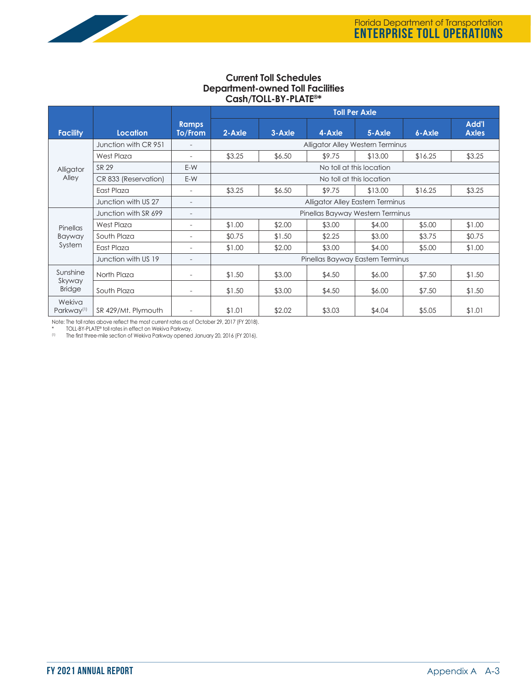

|                                  |                      |                          | <b>Toll Per Axle</b>                    |                                  |        |         |         |                              |  |
|----------------------------------|----------------------|--------------------------|-----------------------------------------|----------------------------------|--------|---------|---------|------------------------------|--|
| <b>Facility</b>                  | Location             | <b>Ramps</b><br>To/From  | $2 - Ax$ le                             | $3 - Ax$ le                      | 4-Axle | 5-Axle  | 6-Axle  | <b>Add'l</b><br><b>Axles</b> |  |
|                                  | Junction with CR 951 |                          |                                         | Alligator Alley Western Terminus |        |         |         |                              |  |
|                                  | <b>West Plaza</b>    |                          | \$3.25                                  | \$6.50                           | \$9.75 | \$13.00 | \$16.25 | \$3.25                       |  |
| Alligator                        | SR 29                | E-W                      | No toll at this location                |                                  |        |         |         |                              |  |
| Alley                            | CR 833 (Reservation) | E-W                      |                                         | No toll at this location         |        |         |         |                              |  |
|                                  | East Plaza           |                          | \$3.25                                  | \$6.50                           | \$9.75 | \$13.00 | \$16.25 | \$3.25                       |  |
|                                  | Junction with US 27  |                          | <b>Alligator Alley Eastern Terminus</b> |                                  |        |         |         |                              |  |
|                                  | Junction with SR 699 | $\overline{\phantom{a}}$ |                                         | Pinellas Bayway Western Terminus |        |         |         |                              |  |
| Pinellas                         | West Plaza           |                          | \$1.00                                  | \$2.00                           | \$3.00 | \$4.00  | \$5.00  | \$1.00                       |  |
| Bayway                           | South Plaza          | $\overline{\phantom{a}}$ | \$0.75                                  | \$1.50                           | \$2.25 | \$3.00  | \$3.75  | \$0.75                       |  |
| System                           | East Plaza           |                          | \$1.00                                  | \$2.00                           | \$3.00 | \$4.00  | \$5.00  | \$1.00                       |  |
|                                  | Junction with US 19  |                          | Pinellas Bayway Eastern Terminus        |                                  |        |         |         |                              |  |
| Sunshine<br>Skyway               | North Plaza          | $\overline{\phantom{a}}$ | \$1.50                                  | \$3.00                           | \$4.50 | \$6.00  | \$7.50  | \$1.50                       |  |
| <b>Bridge</b>                    | South Plaza          |                          | \$1.50                                  | \$3.00                           | \$4.50 | \$6.00  | \$7.50  | \$1.50                       |  |
| Wekiva<br>Parkway <sup>(1)</sup> | SR 429/Mt. Plymouth  |                          | \$1.01                                  | \$2.02                           | \$3.03 | \$4.04  | \$5.05  | \$1.01                       |  |

Note: The toll rates above reflect the most current rates as of October 29, 2017 (FY 2018).

\* TOLL-BY-PLATE® toll rates in effect on Wekiva Parkway.<br><sup>(1)</sup> The first three-mile section of Wekiva Parkway opened January 20, 2016 (FY 2016).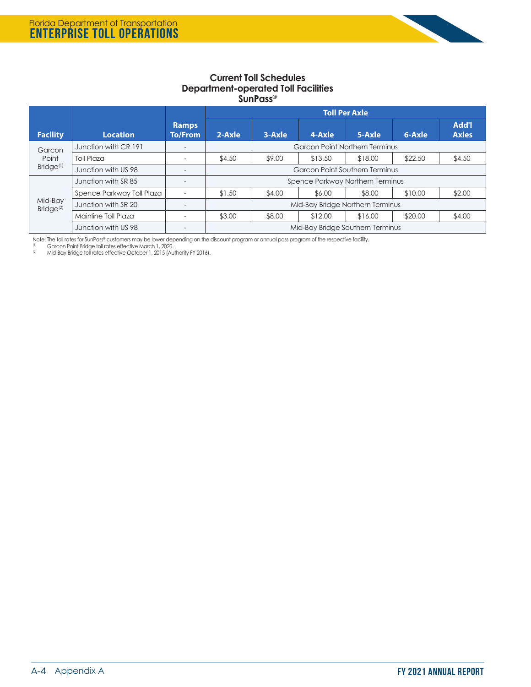

### **Current Toll Schedules Department-operated Toll Facilities SunPass®**

|                                  |                           |                                | <b>Toll Per Axle</b>                  |                                  |         |         |         |                              |
|----------------------------------|---------------------------|--------------------------------|---------------------------------------|----------------------------------|---------|---------|---------|------------------------------|
| <b>Facility</b>                  | <b>Location</b>           | <b>Ramps</b><br><b>To/From</b> | $2-Axle$                              | 3-Axle                           | 4-Axle  | 5-Axle  | 6-Axle  | <b>Add'l</b><br><b>Axles</b> |
| Garcon                           | Junction with CR 191      |                                | <b>Garcon Point Northern Terminus</b> |                                  |         |         |         |                              |
| Point                            | Toll Plaza                | $\overline{\phantom{a}}$       | \$4.50                                | \$9.00                           | \$13.50 | \$18.00 | \$22.50 | \$4.50                       |
| Bridge <sup>(1)</sup>            | Junction with US 98       | $\overline{\phantom{a}}$       | <b>Garcon Point Southern Terminus</b> |                                  |         |         |         |                              |
|                                  | Junction with SR 85       | -                              | Spence Parkway Northern Terminus      |                                  |         |         |         |                              |
|                                  | Spence Parkway Toll Plaza |                                | \$1.50                                | \$4.00                           | \$6.00  | \$8.00  | \$10.00 | \$2.00                       |
| Mid-Bay<br>Bridge <sup>(2)</sup> | Junction with SR 20       |                                | Mid-Bay Bridge Northern Terminus      |                                  |         |         |         |                              |
|                                  | Mainline Toll Plaza       | $\overline{\phantom{a}}$       | \$3.00                                | \$8.00                           | \$12.00 | \$16.00 | \$20.00 | \$4.00                       |
|                                  | Junction with US 98       | $\overline{\phantom{0}}$       |                                       | Mid-Bay Bridge Southern Terminus |         |         |         |                              |

Note: The toll rates for SunPass® customers may be lower depending on the discount program or annual pass program of the respective facility.

<sup>(1)</sup> Garcon Point Bridge toll rates effective March 1, 2020.<br><sup>(2)</sup> Mid-Bay Bridge toll rates effective October 1, 2015 (Authority FY 2016).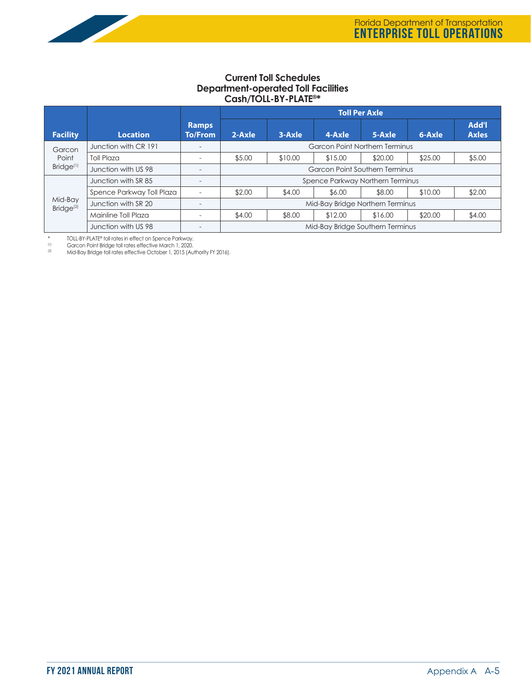### **Current Toll Schedules Department-operated Toll Facilities Cash/TOLL-BY-PLATE®\***

|                                                                            |                           |                                | <b>Toll Per Axle</b>                  |         |         |         |         |                              |
|----------------------------------------------------------------------------|---------------------------|--------------------------------|---------------------------------------|---------|---------|---------|---------|------------------------------|
| <b>Facility</b>                                                            | <b>Location</b>           | <b>Ramps</b><br><b>To/From</b> | $2-Axle$                              | 3-Axle  | 4-Axle  | 5-Axle  | 6-Axle  | <b>Add'l</b><br><b>Axles</b> |
|                                                                            |                           |                                |                                       |         |         |         |         |                              |
| Garcon                                                                     | Junction with CR 191      | $\overline{\phantom{0}}$       | <b>Garcon Point Northern Terminus</b> |         |         |         |         |                              |
| Point                                                                      | <b>Toll Plaza</b>         | $\overline{\phantom{a}}$       | \$5.00                                | \$10.00 | \$15.00 | \$20.00 | \$25.00 | \$5.00                       |
| Bridge <sup>(1)</sup>                                                      | Junction with US 98       | $\overline{\phantom{0}}$       | <b>Garcon Point Southern Terminus</b> |         |         |         |         |                              |
| Spence Parkway Northern Terminus<br>Junction with SR 85<br>$\qquad \qquad$ |                           |                                |                                       |         |         |         |         |                              |
|                                                                            | Spence Parkway Toll Plaza | $\overline{\phantom{a}}$       | \$2.00                                | \$4.00  | \$6.00  | \$8.00  | \$10.00 | \$2.00                       |
| Mid-Bay<br>Bridge <sup>(2)</sup>                                           | Junction with SR 20       | $\qquad \qquad$                | Mid-Bay Bridge Northern Terminus      |         |         |         |         |                              |
|                                                                            | Mainline Toll Plaza       | $\overline{\phantom{a}}$       | \$4.00                                | \$8.00  | \$12.00 | \$16.00 | \$20.00 | \$4.00                       |
|                                                                            | Junction with US 98       |                                | Mid-Bay Bridge Southern Terminus      |         |         |         |         |                              |

\* TOLL-BY-PLATE® toll rates in effect on Spence Parkway.

 $\frac{(1)}{(2)}$  Garcon Point Bridge toll rates effective March 1, 2020.<br>
Mid-Bay Bridge toll rates effective October 1, 2015 (Au

(2) Mid-Bay Bridge toll rates effective October 1, 2015 (Authority FY 2016).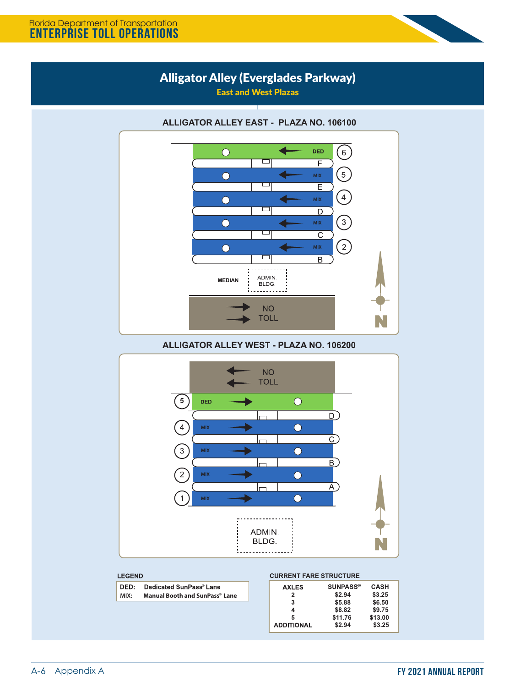### Florida Department of Transportation **ENTERPRISE TOLL OPERATIONS**



East and West Plazas



**ALLIGATOR ALLEY WEST - PLAZA NO. 106200**



### **LEGEND**

| DED: | Dedicated SunPass® Lane               |
|------|---------------------------------------|
| MIX: | <b>Manual Booth and SunPass® Lane</b> |

### **CURRENT FARE STRUCTURE**

| <b>AXLES</b>      | <b>SUNPASS®</b> | <b>CASH</b> |
|-------------------|-----------------|-------------|
| 2                 | \$2.94          | \$3.25      |
| 3                 | \$5.88          | \$6.50      |
| 4                 | \$8.82          | \$9.75      |
| 5                 | \$11.76         | \$13.00     |
| <b>ADDITIONAL</b> | \$2.94          | \$3.25      |
|                   |                 |             |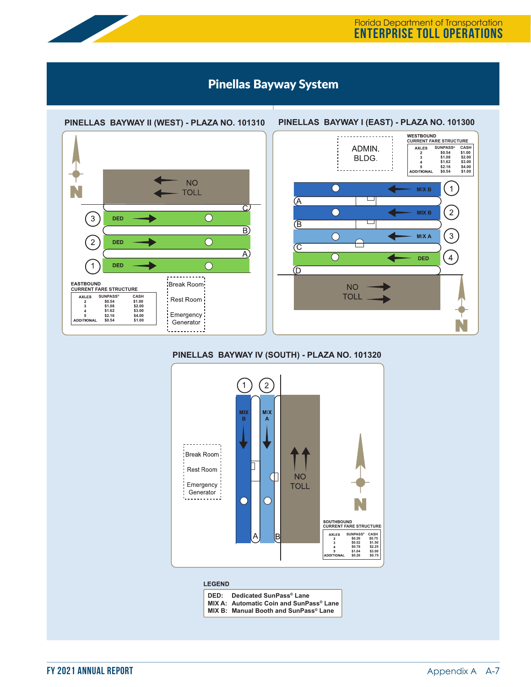

## Pinellas Bayway System





### **PINELLAS BAYWAY IV (SOUTH) - PLAZA NO. 101320**



#### **LEGEND**

| Dedicated SunPass® Lane<br>MIX A: Automatic Coin and SunPass® Lane<br>MIX B: Manual Booth and SunPass® Lane | DED: |
|-------------------------------------------------------------------------------------------------------------|------|
|-------------------------------------------------------------------------------------------------------------|------|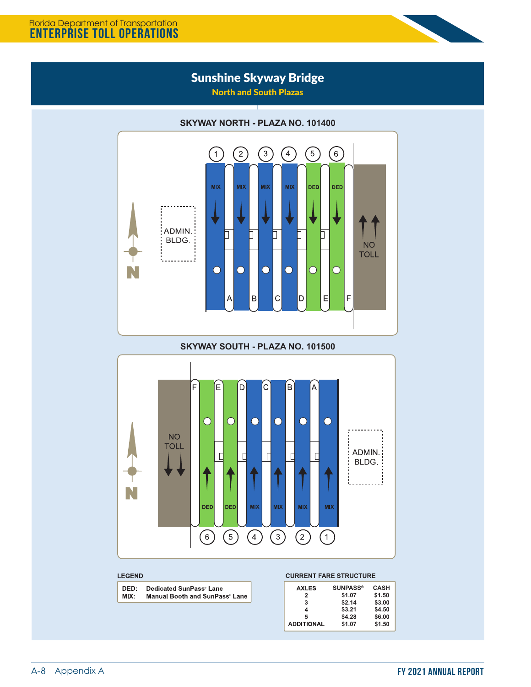## Florida Department of Transportation **ENTERPRISE TOLL OPERATIONS**

## Sunshine Skyway Bridge

North and South Plazas



### **SKYWAY SOUTH - PLAZA NO. 101500**



### LEGEND

| DED: | Dedicated SunPass® Lane        |
|------|--------------------------------|
| MIX: | Manual Booth and SunPass® Lane |

### **CURRENT FARE STRUCTURE**

| <b>AXLES</b>      | <b>SUNPASS®</b> | <b>CASH</b> |
|-------------------|-----------------|-------------|
| 2                 | \$1.07          | \$1.50      |
| 3                 | \$2.14          | \$3.00      |
| 4                 | \$3.21          | \$4.50      |
| 5                 | \$4.28          | \$6.00      |
| <b>ADDITIONAL</b> | \$1.07          | \$1.50      |
|                   |                 |             |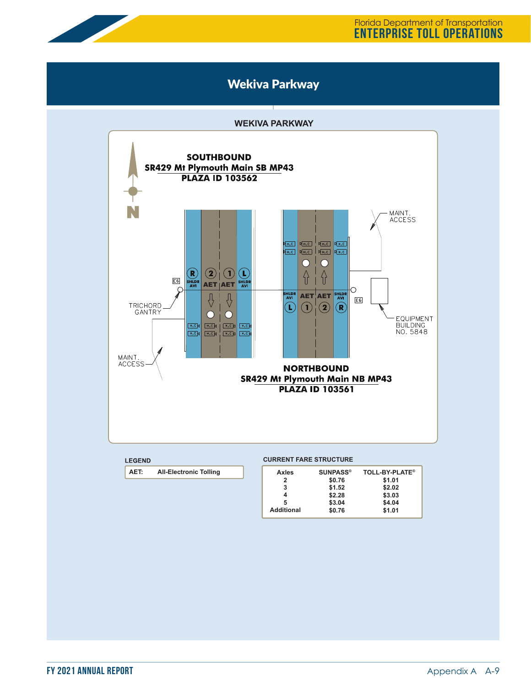

Florida Department of Transportation **ENTERPRISE TOLL OPERATIONS**

## Wekiva Parkway

### **WEKIVA PARKWAY**



### **AET: All-Electronic Tolling**

| <b>SUNPASS®</b> | <b>TOLL-BY-PLATE<sup>®</sup></b> |
|-----------------|----------------------------------|
| \$0.76          | \$1.01                           |
| \$1.52          | \$2.02                           |
| \$2.28          | \$3.03                           |
| \$3.04          | \$4.04                           |
| \$0.76          | \$1.01                           |
|                 |                                  |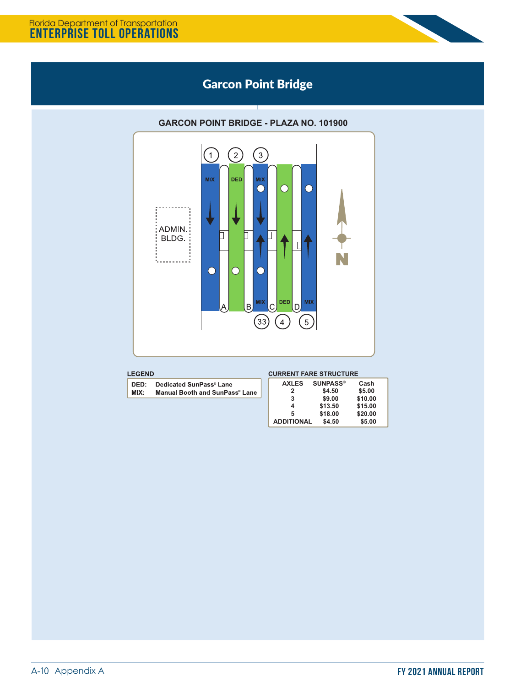

## Garcon Point Bridge

### $\bigcirc$  $\left(1\right)$  $\left(3\right)$ **MIX DED** vix C  $\overline{(\ }$  $\cup$ ADMIN.  $\Box$ BLDG. П . . . . . . . . . .  $\bigcirc$ ŗ. DED MIX 1IX C, D B  $\Large{\textcircled{\scriptsize{33}}}$  $\bigcirc$  $\left(5\right)$

### **GARCON POINT BRIDGE - PLAZA NO. 101900**

|  | -- | END |  |
|--|----|-----|--|
|  |    |     |  |

DED: **Dedicated SunPass® Lane**  $MIX:$ **Manual Booth and SunPass® Lane** 

|  |        | <b>CURRENT FARE STRUCTURE</b> |        |
|--|--------|-------------------------------|--------|
|  | $\sim$ | $\bigcap_{n=1}^{\infty}$      | $\sim$ |

| <b>AXLES</b>      | <b>SUNPASS®</b> | Cash    |
|-------------------|-----------------|---------|
| 2                 | \$4.50          | \$5.00  |
| 3                 | \$9.00          | \$10.00 |
| 4                 | \$13.50         | \$15.00 |
| 5                 | \$18.00         | \$20.00 |
| <b>ADDITIONAL</b> | \$4.50          | \$5.00  |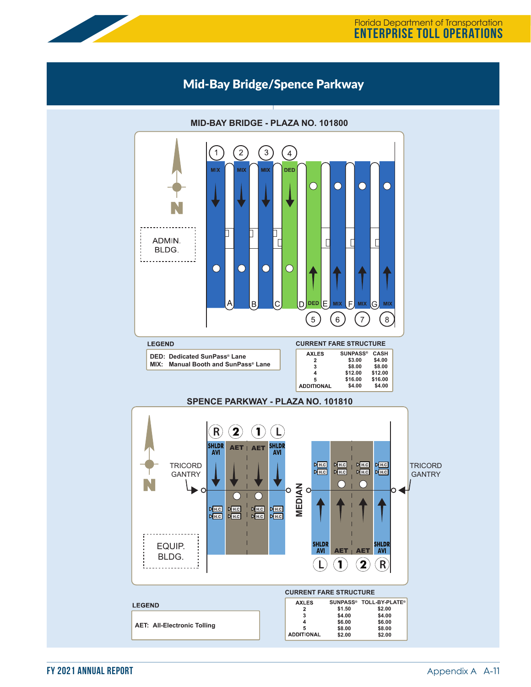### Mid-Bay Bridge/Spence Parkway



### **MID-BAY BRIDGE - PLAZA NO. 101800**

**FY 2021 ANNUAL REPORT** Annual Appendix A A-11